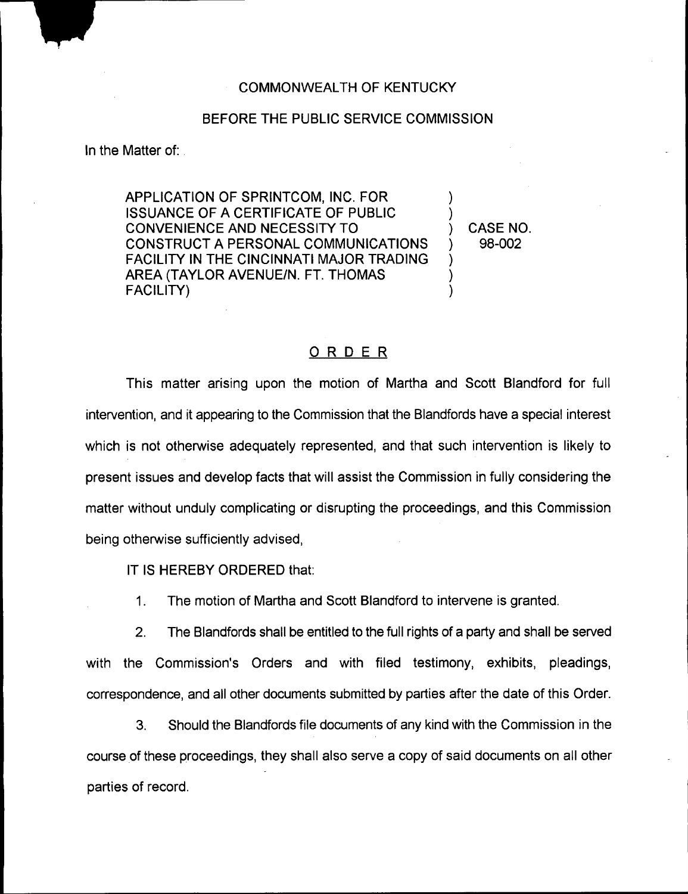#### COMMONWEALTH OF KENTUCKY

### BEFORE THE PUBLIC SERVICE COMMISSION

In the Matter of:

APPLICATION OF SPRINTCOM, INC. FOR ISSUANCE QF A CERTIFICATE QF PUBLIC CONVENIENCE AND NECESSITY TO CONSTRUCT A PERSONAL COMMUNICATIONS FACILITY IN THE CINCINNATI MAJOR TRADING AREA (TAYLOR AVENUE/N. FT. THOMAS FACILITY)

) CASE NO. ) 98-002

) )

) ) )

### ORDER

This matter arising upon the motion of Martha and Scott Blandford for full intervention, and it appearing to the Commission that the Blandfords have a special interest which is not otherwise adequately represented, and that such intervention is likely to present issues and develop facts that will assist the Commission in fully considering the matter without unduly complicating or disrupting the proceedings, and this Commission being otherwise sufficiently advised,

IT IS HEREBY ORDERED that:

1. The motion of Martha and Scott Blandford to intervene is granted.

2. The Blandfords shall be entitled to the full rights of a party and shall be served with the Commission's Orders and with filed testimony, exhibits, pleadings, correspondence, and all other documents submitted by parties after the date of this Order.

3. Should the Blandfords file documents of any kind with the Commission in the course of these proceedings, they shall also serve a copy of said documents on all other parties of record.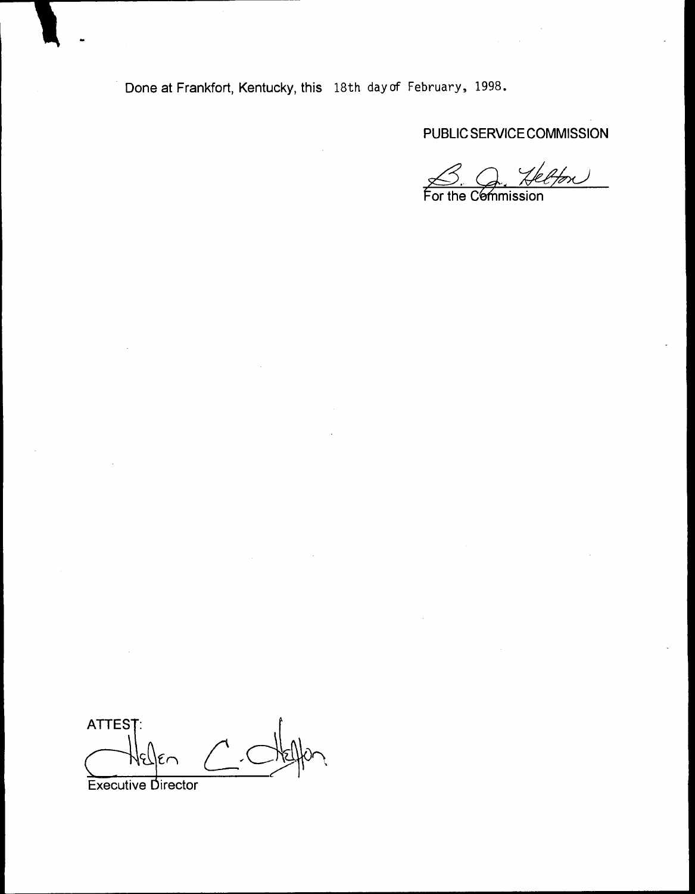Done at Frankfort, Kentucky, this 18th day of February, 1998.

PUBLIC SERVICE COMMISSION

 $\frac{c}{4}$ Hon For the Commission

ATTES<sub>1</sub>  $\sqrt{ }$  $\frac{1}{\sqrt{2}}$ Executive Director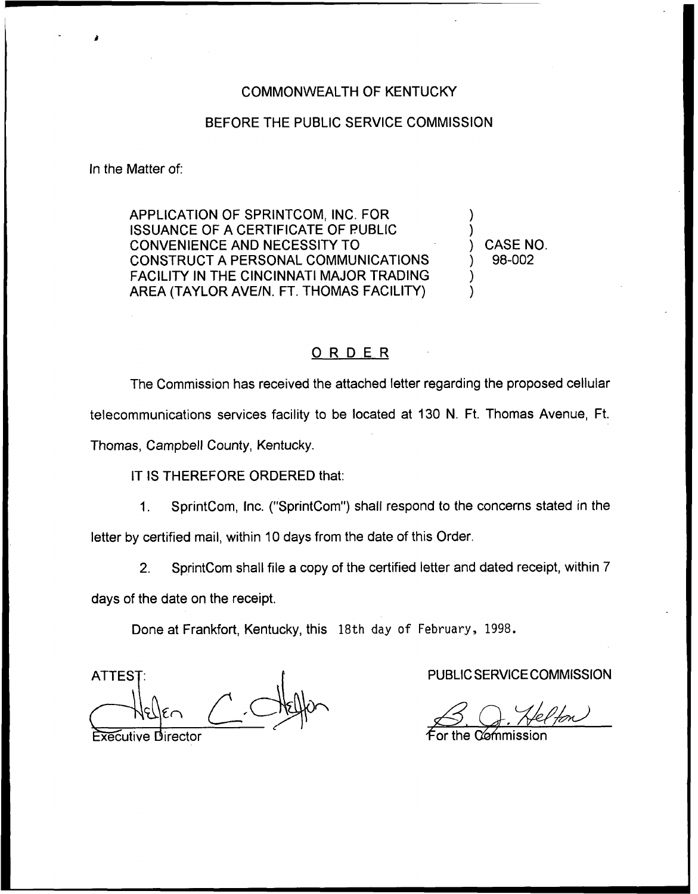## COMMONWEALTH OF KENTUCKY

#### BEFORE THE PUBLIC SERVICE COMMISSION

In the Matter of:

APPLICATION OF SPRINTCOM, INC. FOR ISSUANCE OF A CERTIFICATE OF PUBLIC CONVENIENCE AND NECESSITY TO CONSTRUCT A PERSONAL COMMUNICATIONS FACILITY IN THE CINCINNATI MAJOR TRADING AREA (TAYLOR AVE/N. FT. THOMAS FACILITY)

) CASE NO. ) 98-002

) )

)

# ORDER

The Commission has received the attached letter regarding the proposed cellular telecommunications services facility to be located at 130 N. Ft. Thomas Avenue, Ft. Thomas, Campbell County, Kentucky.

IT IS THEREFORE ORDERED that:

 $1.$ SprintCom, Inc. ("SprintCom") shall respond to the concerns stated in the letter by certified mail, within 10 days from the date of this Order.

2. SprintCom shall file a copy of the certified letter and dated receipt, within 7

days of the date on the receipt.

Done at Frankfort, Kentucky, this 18th day of February, 1998.

**ATTEST** 

**Executive Director** 

PUBLIC SERVICE COMMISSION

 $\epsilon$  for the C@mmission